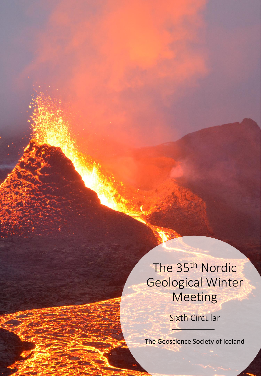## The 35th Nordic Geological Winter Meeting

Sixth Circular

The Geoscience Society of Iceland